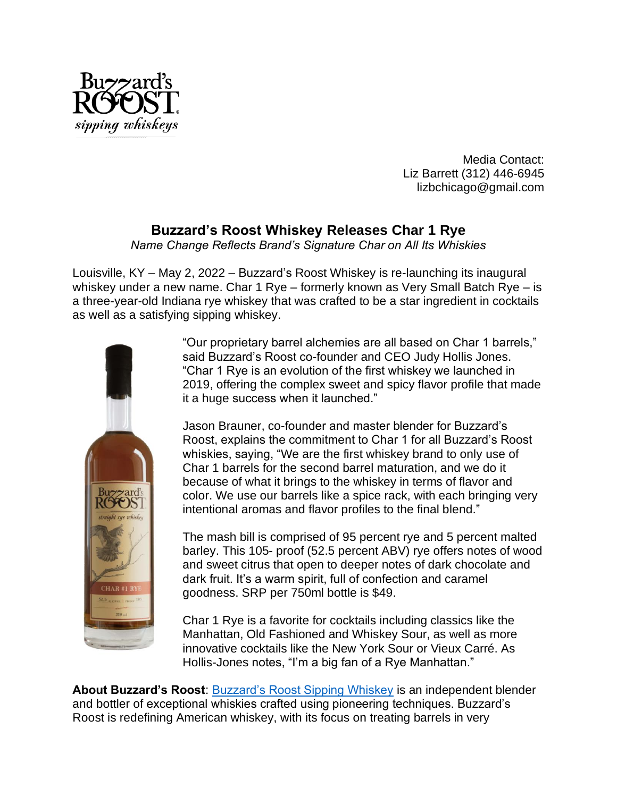

Media Contact: Liz Barrett (312) 446-6945 lizbchicago@gmail.com

## **Buzzard's Roost Whiskey Releases Char 1 Rye**

*Name Change Reflects Brand's Signature Char on All Its Whiskies*

Louisville, KY – May 2, 2022 – Buzzard's Roost Whiskey is re-launching its inaugural whiskey under a new name. Char 1 Rye – formerly known as Very Small Batch Rye – is a three-year-old Indiana rye whiskey that was crafted to be a star ingredient in cocktails as well as a satisfying sipping whiskey.



"Our proprietary barrel alchemies are all based on Char 1 barrels," said Buzzard's Roost co-founder and CEO Judy Hollis Jones. "Char 1 Rye is an evolution of the first whiskey we launched in 2019, offering the complex sweet and spicy flavor profile that made it a huge success when it launched."

Jason Brauner, co-founder and master blender for Buzzard's Roost, explains the commitment to Char 1 for all Buzzard's Roost whiskies, saying, "We are the first whiskey brand to only use of Char 1 barrels for the second barrel maturation, and we do it because of what it brings to the whiskey in terms of flavor and color. We use our barrels like a spice rack, with each bringing very intentional aromas and flavor profiles to the final blend."

The mash bill is comprised of 95 percent rye and 5 percent malted barley. This 105- proof (52.5 percent ABV) rye offers notes of wood and sweet citrus that open to deeper notes of dark chocolate and dark fruit. It's a warm spirit, full of confection and caramel goodness. SRP per 750ml bottle is \$49.

Char 1 Rye is a favorite for cocktails including classics like the Manhattan, Old Fashioned and Whiskey Sour, as well as more innovative cocktails like the New York Sour or Vieux Carré. As Hollis-Jones notes, "I'm a big fan of a Rye Manhattan."

**About Buzzard's Roost**: [Buzzard's Roost Sipping Whiskey](https://www.buzzardsroostwhiskey.com/) is an independent blender and bottler of exceptional whiskies crafted using pioneering techniques. Buzzard's Roost is redefining American whiskey, with its focus on treating barrels in very